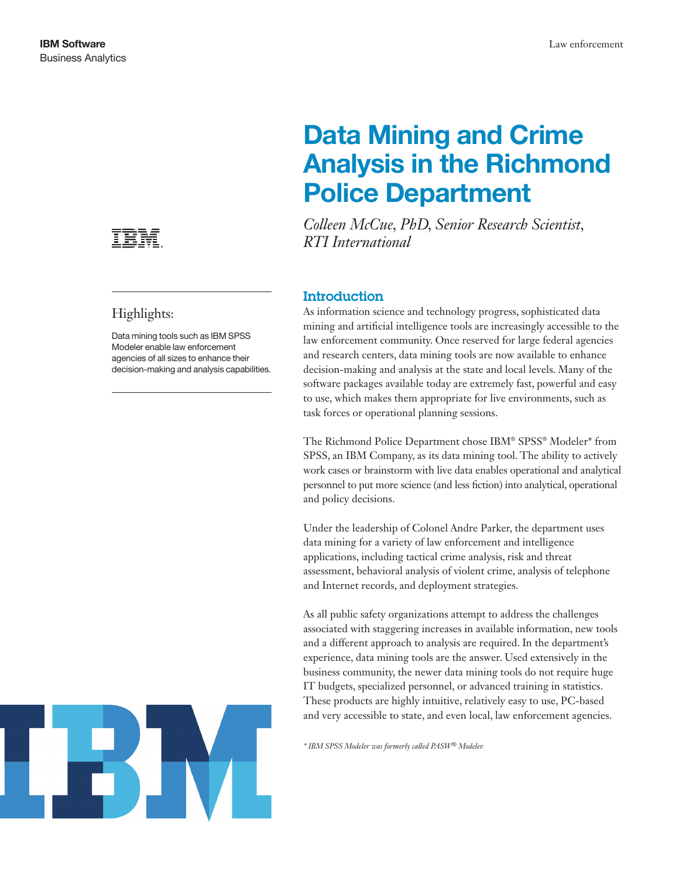

# Highlights:

Data mining tools such as IBM SPSS Modeler enable law enforcement agencies of all sizes to enhance their decision-making and analysis capabilities.

# Data Mining and Crime Analysis in the Richmond Police Department

*Colleen McCue, PhD, Senior Research Scientist, RTI International*

# **Introduction**

As information science and technology progress, sophisticated data mining and artificial intelligence tools are increasingly accessible to the law enforcement community. Once reserved for large federal agencies and research centers, data mining tools are now available to enhance decision-making and analysis at the state and local levels. Many of the software packages available today are extremely fast, powerful and easy to use, which makes them appropriate for live environments, such as task forces or operational planning sessions.

The Richmond Police Department chose IBM® SPSS® Modeler\* from SPSS, an IBM Company, as its data mining tool. The ability to actively work cases or brainstorm with live data enables operational and analytical personnel to put more science (and less fiction) into analytical, operational and policy decisions.

Under the leadership of Colonel Andre Parker, the department uses data mining for a variety of law enforcement and intelligence applications, including tactical crime analysis, risk and threat assessment, behavioral analysis of violent crime, analysis of telephone and Internet records, and deployment strategies.

As all public safety organizations attempt to address the challenges associated with staggering increases in available information, new tools and a different approach to analysis are required. In the department's experience, data mining tools are the answer. Used extensively in the business community, the newer data mining tools do not require huge IT budgets, specialized personnel, or advanced training in statistics. These products are highly intuitive, relatively easy to use, PC-based and very accessible to state, and even local, law enforcement agencies.

*\* IBM SPSS Modeler was formerly called PASW® Modeler.*

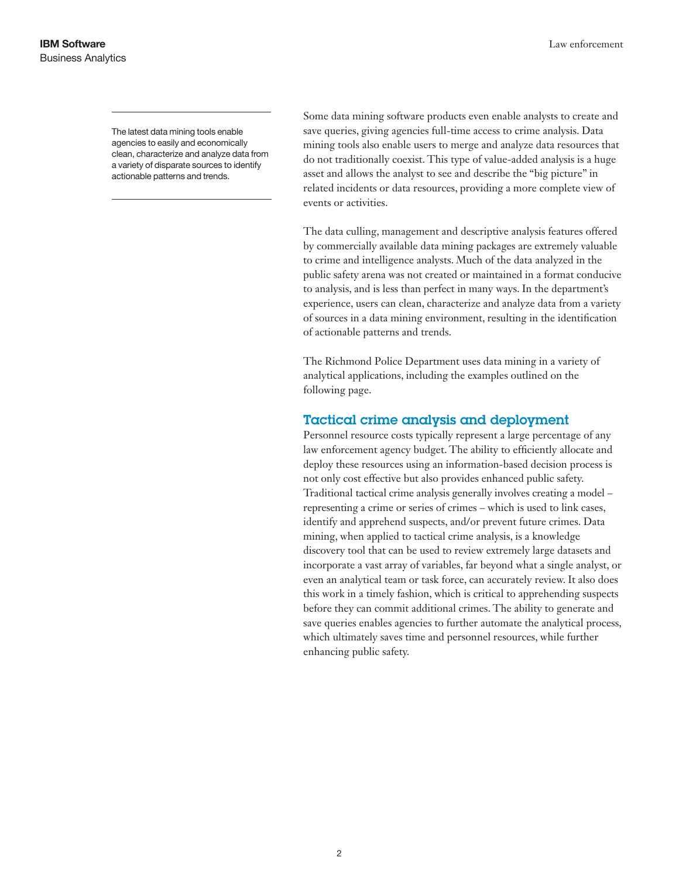The latest data mining tools enable agencies to easily and economically clean, characterize and analyze data from a variety of disparate sources to identify actionable patterns and trends.

Some data mining software products even enable analysts to create and save queries, giving agencies full-time access to crime analysis. Data mining tools also enable users to merge and analyze data resources that do not traditionally coexist. This type of value-added analysis is a huge asset and allows the analyst to see and describe the "big picture" in related incidents or data resources, providing a more complete view of events or activities.

The data culling, management and descriptive analysis features offered by commercially available data mining packages are extremely valuable to crime and intelligence analysts. Much of the data analyzed in the public safety arena was not created or maintained in a format conducive to analysis, and is less than perfect in many ways. In the department's experience, users can clean, characterize and analyze data from a variety of sources in a data mining environment, resulting in the identification of actionable patterns and trends.

The Richmond Police Department uses data mining in a variety of analytical applications, including the examples outlined on the following page.

## Tactical crime analysis and deployment

Personnel resource costs typically represent a large percentage of any law enforcement agency budget. The ability to efficiently allocate and deploy these resources using an information-based decision process is not only cost effective but also provides enhanced public safety. Traditional tactical crime analysis generally involves creating a model – representing a crime or series of crimes – which is used to link cases, identify and apprehend suspects, and/or prevent future crimes. Data mining, when applied to tactical crime analysis, is a knowledge discovery tool that can be used to review extremely large datasets and incorporate a vast array of variables, far beyond what a single analyst, or even an analytical team or task force, can accurately review. It also does this work in a timely fashion, which is critical to apprehending suspects before they can commit additional crimes. The ability to generate and save queries enables agencies to further automate the analytical process, which ultimately saves time and personnel resources, while further enhancing public safety.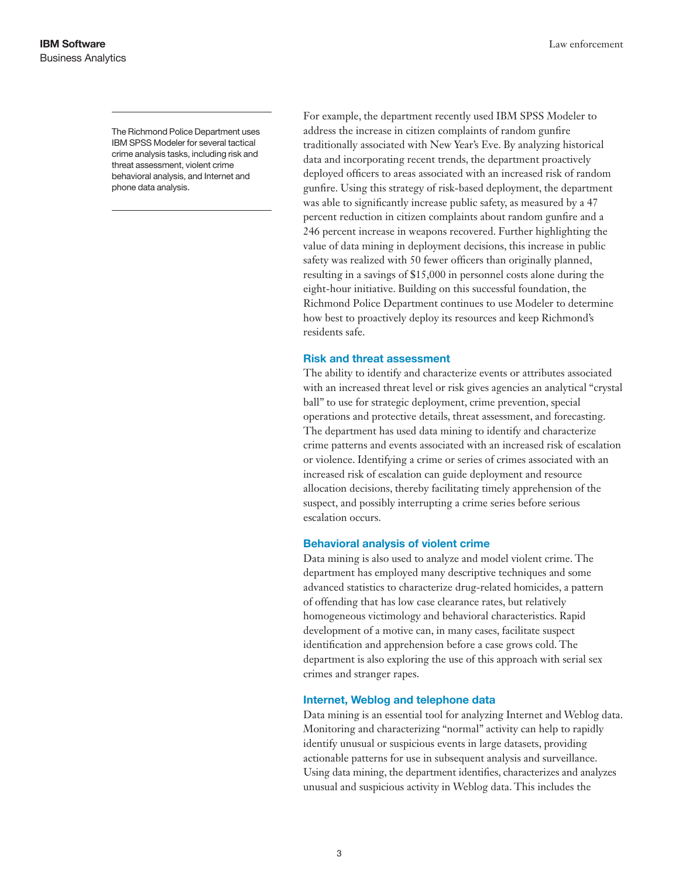The Richmond Police Department uses IBM SPSS Modeler for several tactical crime analysis tasks, including risk and threat assessment, violent crime behavioral analysis, and Internet and phone data analysis.

For example, the department recently used IBM SPSS Modeler to address the increase in citizen complaints of random gunfire traditionally associated with New Year's Eve. By analyzing historical data and incorporating recent trends, the department proactively deployed officers to areas associated with an increased risk of random gunfire. Using this strategy of risk-based deployment, the department was able to significantly increase public safety, as measured by a 47 percent reduction in citizen complaints about random gunfire and a 246 percent increase in weapons recovered. Further highlighting the value of data mining in deployment decisions, this increase in public safety was realized with 50 fewer officers than originally planned, resulting in a savings of \$15,000 in personnel costs alone during the eight-hour initiative. Building on this successful foundation, the Richmond Police Department continues to use Modeler to determine how best to proactively deploy its resources and keep Richmond's residents safe.

#### Risk and threat assessment

The ability to identify and characterize events or attributes associated with an increased threat level or risk gives agencies an analytical "crystal ball" to use for strategic deployment, crime prevention, special operations and protective details, threat assessment, and forecasting. The department has used data mining to identify and characterize crime patterns and events associated with an increased risk of escalation or violence. Identifying a crime or series of crimes associated with an increased risk of escalation can guide deployment and resource allocation decisions, thereby facilitating timely apprehension of the suspect, and possibly interrupting a crime series before serious escalation occurs.

#### Behavioral analysis of violent crime

Data mining is also used to analyze and model violent crime. The department has employed many descriptive techniques and some advanced statistics to characterize drug-related homicides, a pattern of offending that has low case clearance rates, but relatively homogeneous victimology and behavioral characteristics. Rapid development of a motive can, in many cases, facilitate suspect identification and apprehension before a case grows cold. The department is also exploring the use of this approach with serial sex crimes and stranger rapes.

#### Internet, Weblog and telephone data

Data mining is an essential tool for analyzing Internet and Weblog data. Monitoring and characterizing "normal" activity can help to rapidly identify unusual or suspicious events in large datasets, providing actionable patterns for use in subsequent analysis and surveillance. Using data mining, the department identifies, characterizes and analyzes unusual and suspicious activity in Weblog data. This includes the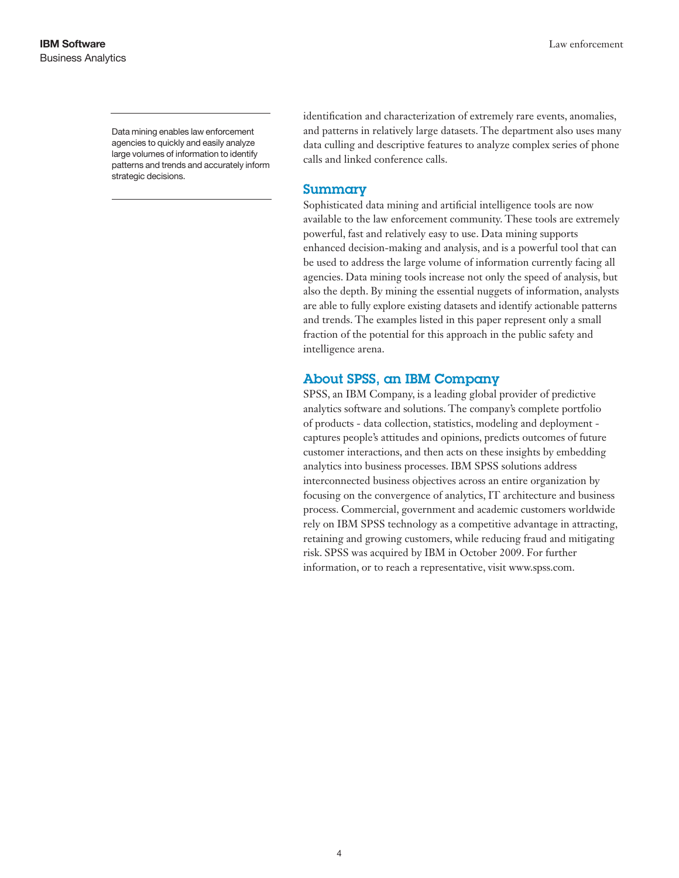Data mining enables law enforcement agencies to quickly and easily analyze large volumes of information to identify patterns and trends and accurately inform strategic decisions.

identification and characterization of extremely rare events, anomalies, and patterns in relatively large datasets. The department also uses many data culling and descriptive features to analyze complex series of phone calls and linked conference calls.

### Summary

Sophisticated data mining and artificial intelligence tools are now available to the law enforcement community. These tools are extremely powerful, fast and relatively easy to use. Data mining supports enhanced decision-making and analysis, and is a powerful tool that can be used to address the large volume of information currently facing all agencies. Data mining tools increase not only the speed of analysis, but also the depth. By mining the essential nuggets of information, analysts are able to fully explore existing datasets and identify actionable patterns and trends. The examples listed in this paper represent only a small fraction of the potential for this approach in the public safety and intelligence arena.

# About SPSS, an IBM Company

SPSS, an IBM Company, is a leading global provider of predictive analytics software and solutions. The company's complete portfolio of products - data collection, statistics, modeling and deployment captures people's attitudes and opinions, predicts outcomes of future customer interactions, and then acts on these insights by embedding analytics into business processes. IBM SPSS solutions address interconnected business objectives across an entire organization by focusing on the convergence of analytics, IT architecture and business process. Commercial, government and academic customers worldwide rely on IBM SPSS technology as a competitive advantage in attracting, retaining and growing customers, while reducing fraud and mitigating risk. SPSS was acquired by IBM in October 2009. For further information, or to reach a representative, visit www.spss.com.

4